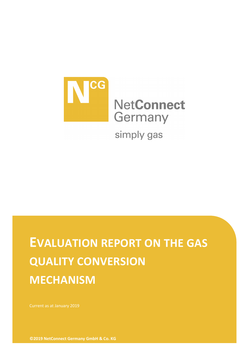

# **EVALUATION REPORT ON THE GAS QUALITY CONVERSION MECHANISM**

**©2019 NetConnect Germany GmbH & Co. KG**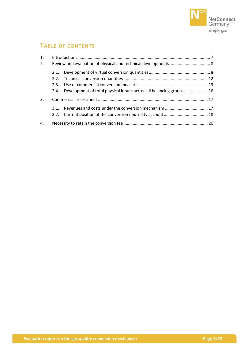

# **TABLE OF CONTENTS**

| 1. |      |                                                                           |  |  |  |
|----|------|---------------------------------------------------------------------------|--|--|--|
| 2. |      |                                                                           |  |  |  |
|    | 2.1. |                                                                           |  |  |  |
|    |      |                                                                           |  |  |  |
|    |      |                                                                           |  |  |  |
|    |      | 2.4. Development of total physical inputs across all balancing groups  16 |  |  |  |
| 3. |      |                                                                           |  |  |  |
|    | 3.1. |                                                                           |  |  |  |
|    |      |                                                                           |  |  |  |
| 4. |      |                                                                           |  |  |  |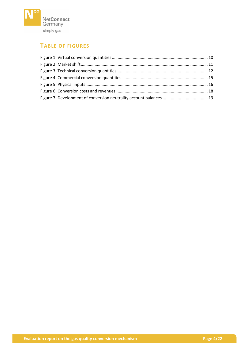

# **TABLE OF FIGURES**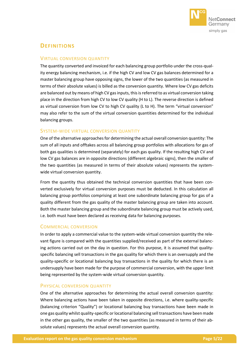

## **DEFINITIONS**

#### VIRTUAL CONVERSION QUANTITY

The quantity converted and invoiced for each balancing group portfolio under the cross-quality energy balancing mechanism, i.e. if the high CV and low CV gas balances determined for a master balancing group have opposing signs, the lower of the two quantities (as measured in terms of their absolute values) is billed as the conversion quantity. Where low CV gas deficits are balanced out by means of high CV gas inputs, this is referred to as virtual conversion taking place in the direction from high CV to low CV quality (H to L). The reverse direction is defined as virtual conversion from low CV to high CV quality (L to H). The term "virtual conversion" may also refer to the sum of the virtual conversion quantities determined for the individual balancing groups.

#### SYSTEM-WIDE VIRTUAL CONVERSION QUANTITY

One of the alternative approaches for determining the actual overall conversion quantity: The sum of all inputs and offtakes across all balancing group portfolios with allocations for gas of both gas qualities is determined (separately) for each gas quality. If the resulting high CV and low CV gas balances are in opposite directions (different algebraic signs), then the smaller of the two quantities (as measured in terms of their absolute values) represents the systemwide virtual conversion quantity.

From the quantity thus obtained the technical conversion quantities that have been converted exclusively for virtual conversion purposes must be deducted. In this calculation all balancing group portfolios comprising at least one subordinate balancing group for gas of a quality different from the gas quality of the master balancing group are taken into account. Both the master balancing group and the subordinate balancing group must be actively used, i.e. both must have been declared as receiving data for balancing purposes.

#### COMMERCIAL CONVERSION

In order to apply a commercial value to the system-wide virtual conversion quantity the relevant figure is compared with the quantities supplied/received as part of the external balancing actions carried out on the day in question. For this purpose, it is assumed that qualityspecific balancing sell transactions in the gas quality for which there is an oversupply and the quality-specific or locational balancing buy transactions in the quality for which there is an undersupply have been made for the purpose of commercial conversion, with the upper limit being represented by the system-wide virtual conversion quantity.

#### PHYSICAL CONVERSION QUANTITY

One of the alternative approaches for determining the actual overall conversion quantity: Where balancing actions have been taken in opposite directions, i.e. where quality-specific (balancing criterion "Quality") or locational balancing buy transactions have been made in one gas quality whilst quality-specific or locational balancing sell transactions have been made in the other gas quality, the smaller of the two quantities (as measured in terms of their absolute values) represents the actual overall conversion quantity.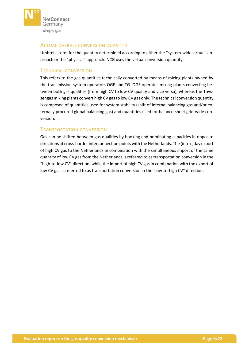

#### ACTUAL OVERALL CONVERSION QUANTITY

Umbrella term for the quantity determined according to either the "system-wide virtual" approach or the "physical" approach. NCG uses the virtual conversion quantity.

#### TECHNICAL CONVERSION

This refers to the gas quantities technically converted by means of mixing plants owned by the transmission system operators OGE and TG. OGE operates mixing plants converting between both gas qualities (from high CV to low CV quality and vice versa), whereas the Thyssengas mixing plants convert high CV gas to low CV gas only. The technical conversion quantity is composed of quantities used for system stability (shift of internal balancing gas and/or externally procured global balancing gas) and quantities used for balance-sheet grid-wide conversion.

#### TRANSPORTATION CONVERSION

Gas can be shifted between gas qualities by booking and nominating capacities in opposite directions at cross-border interconnection points with the Netherlands. The (intra-)day export of high CV gas to the Netherlands in combination with the simultaneous import of the same quantity of low CV gas from the Netherlands is referred to as transportation conversion in the "high-to-low CV" direction, while the import of high CV gas in combination with the export of low CV gas is referred to as transportation conversion in the "low-to-high CV" direction.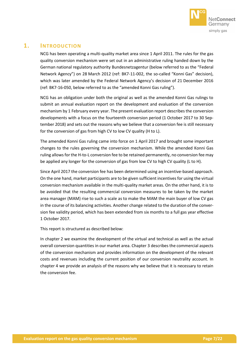

## <span id="page-6-0"></span>**1. INTRODUCTION**

NCG has been operating a multi-quality market area since 1 April 2011. The rules for the gas quality conversion mechanism were set out in an administrative ruling handed down by the German national regulatory authority Bundesnetzagentur (below referred to as the "Federal Network Agency") on 28 March 2012 (ref: BK7-11-002, the so-called "Konni Gas" decision), which was later amended by the Federal Network Agency's decision of 21 December 2016 (ref: BK7-16-050, below referred to as the "amended Konni Gas ruling").

NCG has an obligation under both the original as well as the amended Konni Gas rulings to submit an annual evaluation report on the development and evaluation of the conversion mechanism by 1 February every year. The present evaluation report describes the conversion developments with a focus on the fourteenth conversion period (1 October 2017 to 30 September 2018) and sets out the reasons why we believe that a conversion fee is still necessary for the conversion of gas from high CV to low CV quality (H to L).

The amended Konni Gas ruling came into force on 1 April 2017 and brought some important changes to the rules governing the conversion mechanism. While the amended Konni Gas ruling allows for the H-to-L conversion fee to be retained permanently, no conversion fee may be applied any longer for the conversion of gas from low CV to high CV quality (L to H).

Since April 2017 the conversion fee has been determined using an incentive-based approach. On the one hand, market participants are to be given sufficient incentives for using the virtual conversion mechanism available in the multi-quality market areas. On the other hand, it is to be avoided that the resulting commercial conversion measures to be taken by the market area manager (MAM) rise to such a scale as to make the MAM the main buyer of low CV gas in the course of its balancing activities. Another change related to the duration of the conversion fee validity period, which has been extended from six months to a full gas year effective 1 October 2017.

This report is structured as described below:

In chapter [2](#page-7-0) we examine the development of the virtual and technical as well as the actual overall conversion quantities in our market area. Chapter [3](#page-16-0) describes the commercial aspects of the conversion mechanism and provides information on the development of the relevant costs and revenues including the current position of our conversion neutrality account. In chapter [4](#page-19-0) we provide an analysis of the reasons why we believe that it is necessary to retain the conversion fee.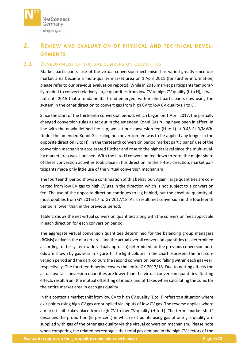

# <span id="page-7-0"></span>**2. REVIEW AND EVALUATION OF PHYSICAL AND TECHNICAL DEVEL-OPMENTS**

#### <span id="page-7-1"></span>2.1. DEVELOPMENT OF VIRTUAL CONVERSION QUANTITIES

Market participants' use of the virtual conversion mechanism has varied greatly since our market area became a multi-quality market area on 1 April 2011 (for further information, please refer to our previous evaluation reports). While in 2013 market participants temporarily tended to convert relatively large quantities from low CV to high CV quality (L to H), it was not until 2015 that a fundamental trend emerged, with market participants now using the system in the other direction to convert gas from high CV to low CV quality (H to L).

Since the start of the thirteenth conversion period, which began on 1 April 2017, the partially changed conversion rules as set out in the amended Konni Gas ruling have been in effect. In line with the newly defined fee cap, we set our conversion fee (H to L) at 0.45 EUR/MWh. Under the amended Konni Gas ruling no conversion fee was to be applied any longer in the opposite direction (L to H). In the thirteenth conversion period market participants' use of the conversion mechanism accelerated further and rose to the highest level since the multi-quality market area was launched. With the L-to-H conversion fee down to zero, the major share of these conversion activities took place in this direction. In the H-to-L direction, market participants made only little use of the virtual conversion mechanism.

The fourteenth period shows a continuation of this behaviour. Again, large quantities are converted from low CV gas to high CV gas in the direction which is not subject to a conversion fee. The use of the opposite direction continues to lag behind, but the absolute quantity almost doubles from GY 2016/17 to GY 2017/18. As a result, net conversion in the fourteenth period is lower than in the previous period.

[Table 1](#page-8-0) shows the net virtual conversion quantities along with the conversion fees applicable in each direction for each conversion period.

The aggregate virtual conversion quantities determined for the balancing group managers (BGMs) active in the market area and the actual overall conversion quantities (as determined according to the system-wide virtual approach) determined for the previous conversion periods are shown by gas year in [Figure 1.](#page-9-0) The light colours in the chart represent the first conversion period and the dark colours the second conversion period falling within each gas year, respectively. The fourteenth period covers the entire GY 2017/18. Due to netting effects the actual overall conversion quantities are lower than the virtual conversion quantities. Netting effects result from the mutual offsetting of inputs and offtakes when calculating the sums for the entire market area in each gas quality.

In this context a market shift from low CV to high CV quality (L to H) refers to a situation where exit points using high CV gas are supplied via inputs of low CV gas. The reverse applies where a market shift takes place from high CV to low CV quality (H to L). The term "market shift" describes the proportion (in per cent) in which exit points using gas of one gas quality are supplied with gas of the other gas quality via the virtual conversion mechanism. Please note when comparing the related percentages that total gas demand in the high CV sectors of the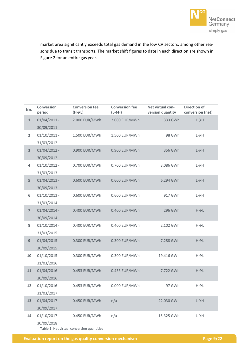

market area significantly exceeds total gas demand in the low CV sectors, among other reasons due to transit transports. The market shift figures to date in each direction are shown in [Figure 2](#page-10-0) for an entire gas year.

| No.            | <b>Conversion</b><br>period | <b>Conversion fee</b><br>$(H \rightarrow L)$ | <b>Conversion fee</b><br>$(L \rightarrow H)$ | Net virtual con-<br>version quantity | <b>Direction of</b><br>conversion (net) |
|----------------|-----------------------------|----------------------------------------------|----------------------------------------------|--------------------------------------|-----------------------------------------|
| $\mathbf{1}$   | $01/04/2011 -$              | 2.000 EUR/MWh                                | 2.000 EUR/MWh                                | 333 GWh                              | $L \rightarrow H$                       |
|                | 30/09/2011                  |                                              |                                              |                                      |                                         |
| $\overline{2}$ | $01/10/2011$ -              | 1.500 EUR/MWh                                | 1.500 EUR/MWh                                | 98 GWh                               | $L \rightarrow H$                       |
|                | 31/03/2012                  |                                              |                                              |                                      |                                         |
| 3              | $01/04/2012 -$              | 0.900 EUR/MWh                                | 0.900 EUR/MWh                                | 356 GWh                              | $L \rightarrow H$                       |
|                | 30/09/2012                  |                                              |                                              |                                      |                                         |
| 4              | $01/10/2012 -$              | 0.700 EUR/MWh                                | 0.700 EUR/MWh                                | 3,086 GWh                            | $L \rightarrow H$                       |
|                | 31/03/2013                  |                                              |                                              |                                      |                                         |
| 5              | $01/04/2013 -$              | 0.600 EUR/MWh                                | 0.600 EUR/MWh                                | 6,294 GWh                            | $L \rightarrow H$                       |
|                | 30/09/2013                  |                                              |                                              |                                      |                                         |
| 6              | $01/10/2013 -$              | 0.600 EUR/MWh                                | 0.600 EUR/MWh                                | 917 GWh                              | $L \rightarrow H$                       |
|                | 31/03/2014                  |                                              |                                              |                                      |                                         |
| $\overline{7}$ | $01/04/2014 -$              | 0.400 EUR/MWh                                | 0.400 EUR/MWh                                | 296 GWh                              | $H\rightarrow L$                        |
|                | 30/09/2014                  |                                              |                                              |                                      |                                         |
| 8              | $01/10/2014$ -              | 0.400 EUR/MWh                                | 0.400 EUR/MWh                                | 2,102 GWh                            | $H\rightarrow L$                        |
|                | 31/03/2015                  |                                              |                                              |                                      |                                         |
| 9              | $01/04/2015$ -              | 0.300 EUR/MWh                                | 0.300 EUR/MWh                                | 7,288 GWh                            | $H\rightarrow L$                        |
|                | 30/09/2015                  |                                              |                                              |                                      |                                         |
| 10             | $01/10/2015$ -              | 0.300 EUR/MWh                                | 0.300 EUR/MWh                                | 19,416 GWh                           | $H\rightarrow L$                        |
|                | 31/03/2016                  |                                              |                                              |                                      |                                         |
| 11             | $01/04/2016 -$              | 0.453 EUR/MWh                                | 0.453 EUR/MWh                                | 7,722 GWh                            | $H\rightarrow L$                        |
|                | 30/09/2016                  |                                              |                                              |                                      |                                         |
| 12             | $01/10/2016$ -              | 0.453 EUR/MWh                                | 0.000 EUR/MWh                                | 97 GWh                               | $H\rightarrow L$                        |
|                | 31/03/2017                  |                                              |                                              |                                      |                                         |
| 13             | $01/04/2017 -$              | 0.450 EUR/MWh                                | n/a                                          | 22,030 GWh                           | $L \rightarrow H$                       |
|                | 30/09/2017                  |                                              |                                              |                                      |                                         |
| 14             | $01/10/2017 -$              | 0.450 EUR/MWh                                | n/a                                          | 15.325 GWh                           | $L \rightarrow H$                       |
|                | 30/09/2018                  |                                              |                                              |                                      |                                         |

<span id="page-8-0"></span>Table 1: Net virtual conversion quantities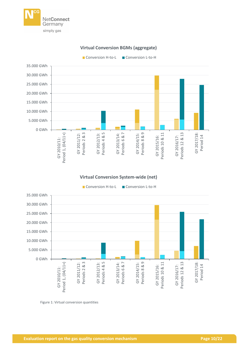

## **Virtual Conversion BGMs (aggregate)**

Conversion H-to-L Conversion L-to-H





#### **Virtual Conversion System-wide (net)**



<span id="page-9-0"></span>Figure 1: Virtual conversion quantities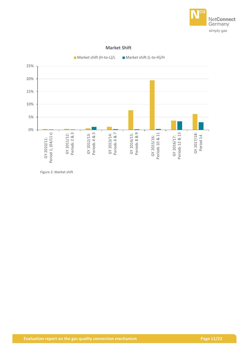

#### **Market Shift**



<span id="page-10-0"></span>Figure 2: Market shift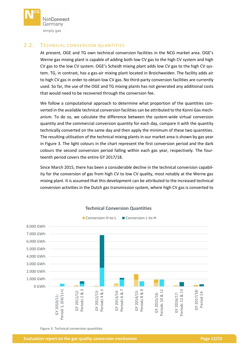

#### <span id="page-11-0"></span>2.2. TECHNICAL CONVERSION QUANTITIES

At present, OGE and TG own technical conversion facilities in the NCG market area. OGE's Werne gas mixing plant is capable of adding both low CV gas to the high CV system and high CV gas to the low CV system. OGE's Scheidt mixing plant adds low CV gas to the high CV system. TG, in contrast, has a gas-air mixing plant located in Broichweiden. The facility adds air to high CV gas in order to obtain low CV gas. No third-party conversion facilities are currently used. So far, the use of the OGE and TG mixing plants has not generated any additional costs that would need to be recovered through the conversion fee.

We follow a computational approach to determine what proportion of the quantities converted in the available technical conversion facilities can be attributed to the Konni Gas mechanism. To do so, we calculate the difference between the system-wide virtual conversion quantity and the commercial conversion quantity for each day, compare it with the quantity technically converted on the same day and then apply the minimum of these two quantities. The resulting utilisation of the technical mixing plants in our market area is shown by gas year in [Figure 3.](#page-11-1) The light colours in the chart represent the first conversion period and the dark colours the second conversion period falling within each gas year, respectively. The fourteenth period covers the entire GY 2017/18.

Since March 2015, there has been a considerable decline in the technical conversion capability for the conversion of gas from high CV to low CV quality, most notably at the Werne gas mixing plant. It is assumed that this development can be attributed to the increased technical conversion activities in the Dutch gas transmission system, where high CV gas is converted to



#### **Technical Conversion Quantities**

<span id="page-11-1"></span>Figure 3: Technical conversion quantities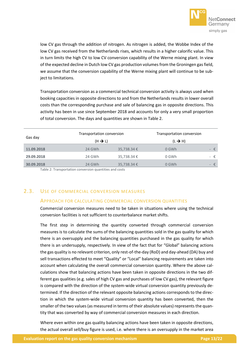

low CV gas through the addition of nitrogen. As nitrogen is added, the Wobbe Index of the low CV gas received from the Netherlands rises, which results in a higher calorific value. This in turn limits the high CV to low CV conversion capability of the Werne mixing plant. In view of the expected decline in Dutch low CV gas production volumes from the Groningen gas field, we assume that the conversion capability of the Werne mixing plant will continue to be subject to limitations.

Transportation conversion as a commercial technical conversion activity is always used when booking capacities in opposite directions to and from the Netherlands results in lower overall costs than the corresponding purchase and sale of balancing gas in opposite directions. This activity has been in use since September 2018 and accounts for only a very small proportion of total conversion. The days and quantities are shown in [Table 2.](#page-12-1)

|            | Transportation conversion<br>$(H \rightarrow L)$ |                 | Transportation conversion<br>$(L \rightarrow H)$ |     |
|------------|--------------------------------------------------|-----------------|--------------------------------------------------|-----|
| Gas day    |                                                  |                 |                                                  |     |
| 11.09.2018 | 24 GWh                                           | 35,738.34€      | 0 GWh                                            | - € |
| 29.09.2018 | 24 GWh                                           | 35,738.34 €     | 0 GWh                                            | - € |
| 30.09.2018 | 24 GWh                                           | $35,738.34 \t€$ | 0 GWh                                            | - € |

<span id="page-12-1"></span>Table 2: Transportation conversion quantities and costs

#### <span id="page-12-0"></span>2.3. USE OF COMMERCIAL CONVERSION MEASURES

#### APPROACH FOR CALCULATING COMMERCIAL CONVERSION QUANTITIES

Commercial conversion measures need to be taken in situations where using the technical conversion facilities is not sufficient to counterbalance market shifts.

The first step in determining the quantity converted through commercial conversion measures is to calculate the sums of the balancing quantities sold in the gas quality for which there is an oversupply and the balancing quantities purchased in the gas quality for which there is an undersupply, respectively. In view of the fact that for "Global" balancing actions the gas quality is no relevant criterion, only rest-of-the-day (RoD) and day-ahead (DA) buy and sell transactions effected to meet "Quality" or "Local" balancing requirements are taken into account when calculating the overall commercial conversion quantity. Where the above calculations show that balancing actions have been taken in opposite directions in the two different gas qualities (e.g. sales of high CV gas and purchases of low CV gas), the relevant figure is compared with the direction of the system-wide virtual conversion quantity previously determined. If the direction of the relevant opposite balancing actions corresponds to the direction in which the system-wide virtual conversion quantity has been converted, then the smaller of the two values (as measured in terms of their absolute values) represents the quantity that was converted by way of commercial conversion measures in each direction.

Where even within one gas quality balancing actions have been taken in opposite directions, the actual overall sell/buy figure is used, i.e. where there is an oversupply in the market area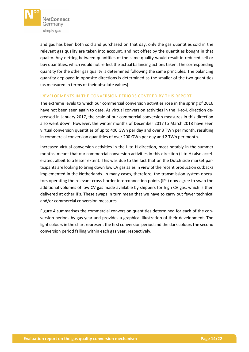

and gas has been both sold and purchased on that day, only the gas quantities sold in the relevant gas quality are taken into account, and not offset by the quantities bought in that quality. Any netting between quantities of the same quality would result in reduced sell or buy quantities, which would not reflect the actual balancing actions taken. The corresponding quantity for the other gas quality is determined following the same principles. The balancing quantity deployed in opposite directions is determined as the smaller of the two quantities (as measured in terms of their absolute values).

#### DEVELOPMENTS IN THE CONVERSION PERIODS COVERED BY THIS REPORT

The extreme levels to which our commercial conversion activities rose in the spring of 2016 have not been seen again to date. As virtual conversion activities in the H-to-L direction decreased in January 2017, the scale of our commercial conversion measures in this direction also went down. However, the winter months of December 2017 to March 2018 have seen virtual conversion quantities of up to 400 GWh per day and over 3 TWh per month, resulting in commercial conversion quantities of over 200 GWh per day and 2 TWh per month.

Increased virtual conversion activities in the L-to-H direction, most notably in the summer months, meant that our commercial conversion activities in this direction (L to H) also accelerated, albeit to a lesser extent. This was due to the fact that on the Dutch side market participants are looking to bring down low CV gas sales in view of the recent production cutbacks implemented in the Netherlands. In many cases, therefore, the transmission system operators operating the relevant cross-border interconnection points (IPs) now agree to swap the additional volumes of low CV gas made available by shippers for high CV gas, which is then delivered at other IPs. These swaps in turn mean that we have to carry out fewer technical and/or commercial conversion measures.

[Figure 4](#page-14-0) summarises the commercial conversion quantities determined for each of the conversion periods by gas year and provides a graphical illustration of their development. The light colours in the chart represent the first conversion period and the dark colours the second conversion period falling within each gas year, respectively.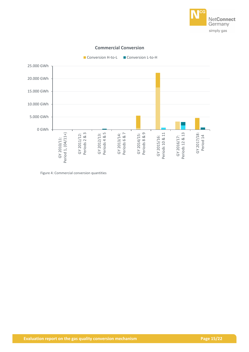



#### **Commercial Conversion**

<span id="page-14-0"></span>Figure 4: Commercial conversion quantities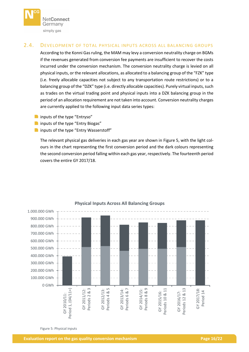

#### <span id="page-15-0"></span>2.4. DEVELOPMENT OF TOTAL PHYSICAL INPUTS ACROSS ALL BALANCING GROUPS

According to the Konni Gas ruling, the MAM may levy a conversion neutrality charge on BGMs if the revenues generated from conversion fee payments are insufficient to recover the costs incurred under the conversion mechanism. The conversion neutrality charge is levied on all physical inputs, or the relevant allocations, as allocated to a balancing group of the "FZK" type (i.e. freely allocable capacities not subject to any transportation route restrictions) or to a balancing group of the "DZK" type (i.e. directly allocable capacities). Purely virtual inputs, such as trades on the virtual trading point and physical inputs into a DZK balancing group in the period of an allocation requirement are not taken into account. Conversion neutrality charges are currently applied to the following input data series types:

- **n** inputs of the type "Entryso"
- **n** inputs of the type "Entry Biogas"
- **n** inputs of the type "Entry Wasserstoff"

The relevant physical gas deliveries in each gas year are shown in [Figure 5,](#page-15-1) with the light colours in the chart representing the first conversion period and the dark colours representing the second conversion period falling within each gas year, respectively. The fourteenth period covers the entire GY 2017/18.



### **Physical Inputs Across All Balancing Groups**

<span id="page-15-1"></span>Figure 5: Physical inputs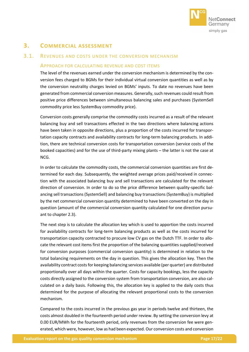

# <span id="page-16-0"></span>**3. COMMERCIAL ASSESSMENT**

#### <span id="page-16-1"></span>3.1. REVENUES AND COSTS UNDER THE CONVERSION MECHANISM

#### APPROACH FOR CALCULATING REVENUE AND COST ITEMS

The level of the revenues earned under the conversion mechanism is determined by the conversion fees charged to BGMs for their individual virtual conversion quantities as well as by the conversion neutrality charges levied on BGMs' inputs. To date no revenues have been generated from commercial conversion measures. Generally, such revenues could result from positive price differences between simultaneous balancing sales and purchases (SystemSell commodity price less SystemBuy commodity price).

Conversion costs generally comprise the commodity costs incurred as a result of the relevant balancing buy and sell transactions effected in the two directions where balancing actions have been taken in opposite directions, plus a proportion of the costs incurred for transportation capacity contracts and availability contracts for long-term balancing products. In addition, there are technical conversion costs for transportation conversion (service costs of the booked capacities) and for the use of third-party mixing plants – the latter is not the case at NCG.

In order to calculate the commodity costs, the commercial conversion quantities are first determined for each day. Subsequently, the weighted average prices paid/received in connection with the associated balancing buy and sell transactions are calculated for the relevant direction of conversion. In order to do so the price difference between quality-specific balancing sell transactions (SystemSell) and balancing buy transactions (SystemBuy) is multiplied by the net commercial conversion quantity determined to have been converted on the day in question (amount of the commercial conversion quantity calculated for one direction pursuant to chapte[r 2.3\)](#page-12-0).

The next step is to calculate the allocation key which is used to apportion the costs incurred for availability contracts for long-term balancing products as well as the costs incurred for transportation capacity contracted to procure low CV gas on the Dutch TTF. In order to allocate the relevant cost items first the proportion of the balancing quantities supplied/received for conversion purposes (commercial conversion quantity) is determined in relation to the total balancing requirements on the day in question. This gives the allocation key. Then the availability contract costs for keeping balancing services available (per quarter) are distributed proportionally over all days within the quarter. Costs for capacity bookings, less the capacity costs directly assigned to the conversion system from transportation conversion, are also calculated on a daily basis. Following this, the allocation key is applied to the daily costs thus determined for the purpose of allocating the relevant proportional costs to the conversion mechanism.

Compared to the costs incurred in the previous gas year in periods twelve and thirteen, the costs almost doubled in the fourteenth period under review. By setting the conversion levy at 0.00 EUR/MWh for the fourteenth period, only revenues from the conversion fee were generated, which were, however, low as had been expected. Our conversion costs and conversion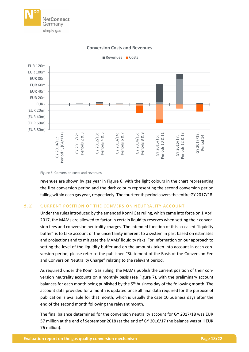



#### **Conversion Costs and Revenues**

<span id="page-17-1"></span>Figure 6: Conversion costs and revenues

revenues are shown by gas year in [Figure 6,](#page-17-1) with the light colours in the chart representing the first conversion period and the dark colours representing the second conversion period falling within each gas year, respectively. The fourteenth period covers the entire GY 2017/18.

#### <span id="page-17-0"></span>3.2. CURRENT POSITION OF THE CONVERSION NEUTRALITY ACCOUNT

Under the rules introduced by the amended Konni Gas ruling, which came into force on 1 April 2017, the MAMs are allowed to factor in certain liquidity reserves when setting their conversion fees and conversion neutrality charges. The intended function of this so-called "liquidity buffer" is to take account of the uncertainty inherent to a system in part based on estimates and projections and to mitigate the MAMs' liquidity risks. For information on our approach to setting the level of the liquidity buffer and on the amounts taken into account in each conversion period, please refer to the published "Statement of the Basis of the Conversion Fee and Conversion Neutrality Charge" relating to the relevant period.

As required under the Konni Gas ruling, the MAMs publish the current position of their conversion neutrality accounts on a monthly basis (see [Figure 7\)](#page-18-0), with the preliminary account balances for each month being published by the 5<sup>th</sup> business day of the following month. The account data provided for a month is updated once all final data required for the purpose of publication is available for that month, which is usually the case 10 business days after the end of the second month following the relevant month.

The final balance determined for the conversion neutrality account for GY 2017/18 was EUR 57 million at the end of September 2018 (at the end of GY 2016/17 the balance was still EUR 76 million).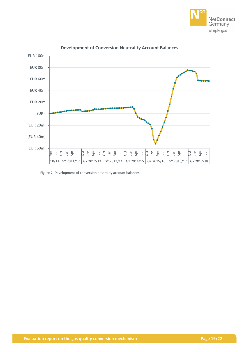



#### **Development of Conversion Neutrality Account Balances**

<span id="page-18-0"></span>Figure 7: Development of conversion neutrality account balances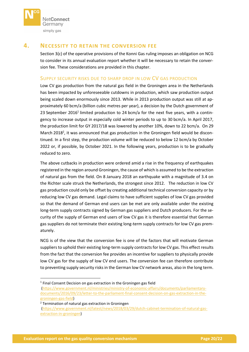

## <span id="page-19-0"></span>**4. NECESSITY TO RETAIN THE CONVERSION FEE**

Section 3(c) of the operative provisions of the Konni Gas ruling imposes an obligation on NCG to consider in its annual evaluation report whether it will be necessary to retain the conversion fee. These considerations are provided in this chapter.

#### SUPPLY SECURITY RISKS DUE TO SHARP DROP IN LOW CV GAS PRODUCTION

Low CV gas production from the natural gas field in the Groningen area in the Netherlands has been impacted by unforeseeable cutdowns in production, which saw production output being scaled down enormously since 2013. While in 2013 production output was still at approximately 60 bcm/a (billion cubic metres per year), a decision by the Dutch government of 23 September 2016<sup>1</sup> limited production to 24 bcm/a for the next five years, with a contingency to increase output in especially cold winter periods to up to 30 bcm/a. In April 2017, the production limit for GY 2017/18 was lowered by another 10%, down to 22 bcm/a. On 29 March 2018<sup>2</sup>, it was announced that gas production in the Groningen field would be discontinued. In a first step, the production volume will be reduced to below 12 bcm/a by October 2022 or, if possible, by October 2021. In the following years, production is to be gradually reduced to zero.

The above cutbacks in production were ordered amid a rise in the frequency of earthquakes registered in the region around Groningen, the cause of which is assumed to be the extraction of natural gas from the field. On 8 January 2018 an earthquake with a magnitude of 3.4 on the Richter scale struck the Netherlands, the strongest since 2012. The reduction in low CV gas production could only be offset by creating additional technical conversion capacity or by reducing low CV gas demand. Legal claims to have sufficient supplies of low CV gas provided so that the demand of German end users can be met are only available under the existing long-term supply contracts signed by German gas suppliers and Dutch producers. For the security of the supply of German end users of low CV gas it is therefore essential that German gas suppliers do not terminate their existing long-term supply contracts for low CV gas prematurely.

NCG is of the view that the conversion fee is one of the factors that will motivate German suppliers to uphold their existing long-term supply contracts for low CV gas. This effect results from the fact that the conversion fee provides an incentive for suppliers to physically provide low CV gas for the supply of low CV end users. The conversion fee can therefore contribute to preventing supply security risks in the German low CV network areas, also in the long term.

<sup>2</sup> Termination of natural gas extraction in Groningen

**.** 

<sup>&</sup>lt;sup>1</sup> Final Consent Decision on gas extraction in the Groningen gas field

[<sup>\(</sup>https://www.government.nl/ministries/ministry-of-economic-affairs/documents/parliamentary](https://www.government.nl/ministries/ministry-of-economic-affairs/documents/parliamentary-documents/2016/09/23/letter-to-the-parliament-final-consent-decision-on-gas-extraction-in-the-groningen-gas-field)[documents/2016/09/23/letter-to-the-parliament-final-consent-decision-on-gas-extraction-in-the](https://www.government.nl/ministries/ministry-of-economic-affairs/documents/parliamentary-documents/2016/09/23/letter-to-the-parliament-final-consent-decision-on-gas-extraction-in-the-groningen-gas-field)[groningen-gas-field\)](https://www.government.nl/ministries/ministry-of-economic-affairs/documents/parliamentary-documents/2016/09/23/letter-to-the-parliament-final-consent-decision-on-gas-extraction-in-the-groningen-gas-field)

[<sup>\(</sup>https://www.government.nl/latest/news/2018/03/29/dutch-cabinet-termination-of-natural-gas](https://www.government.nl/latest/news/2018/03/29/dutch-cabinet-termination-of-natural-gas-extraction-in-groningen)[extraction-in-groningen\)](https://www.government.nl/latest/news/2018/03/29/dutch-cabinet-termination-of-natural-gas-extraction-in-groningen)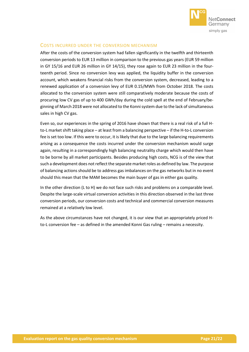

## COSTS INCURRED UNDER THE CONVERSION MECHANISM

After the costs of the conversion system had fallen significantly in the twelfth and thirteenth conversion periods to EUR 13 million in comparison to the previous gas years (EUR 59 million in GY 15/16 and EUR 26 million in GY 14/15), they rose again to EUR 23 million in the fourteenth period. Since no conversion levy was applied, the liquidity buffer in the conversion account, which weakens financial risks from the conversion system, decreased, leading to a renewed application of a conversion levy of EUR 0.15/MWh from October 2018. The costs allocated to the conversion system were still comparatively moderate because the costs of procuring low CV gas of up to 400 GWh/day during the cold spell at the end of February/beginning of March 2018 were not allocated to the Konni system due to the lack of simultaneous sales in high CV gas.

Even so, our experiences in the spring of 2016 have shown that there is a real risk of a full Hto-L market shift taking place – at least from a balancing perspective – if the H-to-L conversion fee is set too low. If this were to occur, it is likely that due to the large balancing requirements arising as a consequence the costs incurred under the conversion mechanism would surge again, resulting in a correspondingly high balancing neutrality charge which would then have to be borne by all market participants. Besides producing high costs, NCG is of the view that such a development does not reflect the separate market roles as defined by law. The purpose of balancing actions should be to address gas imbalances on the gas networks but in no event should this mean that the MAM becomes the main buyer of gas in either gas quality.

In the other direction (L to H) we do not face such risks and problems on a comparable level. Despite the large-scale virtual conversion activities in this direction observed in the last three conversion periods, our conversion costs and technical and commercial conversion measures remained at a relatively low level.

As the above circumstances have not changed, it is our view that an appropriately priced Hto-L conversion fee – as defined in the amended Konni Gas ruling – remains a necessity.